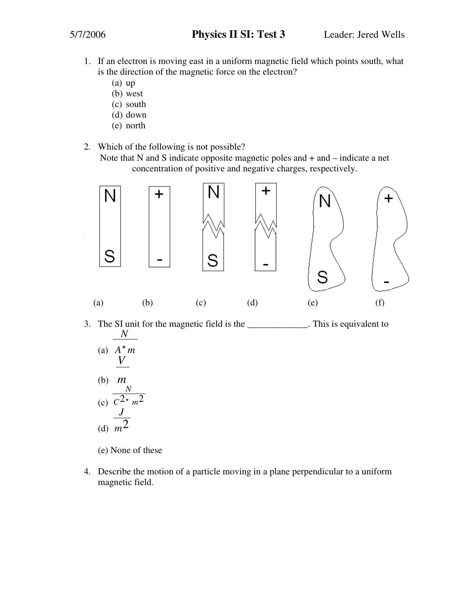- 1. If an electron is moving east in a uniform magnetic field which points south, what is the direction of the magnetic force on the electron?
	- (a) up
	- (b) west
	- (c) south
	- (d) down
	- (e) north
- 2. Which of the following is not possible?

Note that N and S indicate opposite magnetic poles and + and – indicate a net concentration of positive and negative charges, respectively.



3. The SI unit for the magnetic field is the \_\_\_\_\_\_\_\_\_\_\_\_\_. This is equivalent to (a) *A*\* *m N*  $(1)$ *V m*

(b) 
$$
\frac{m}{C^2 \cdot m^2}
$$
  
(c)  $\frac{N}{C^2 \cdot m^2}$   
(d)  $m^2$ 

(e) None of these

4. Describe the motion of a particle moving in a plane perpendicular to a uniform magnetic field.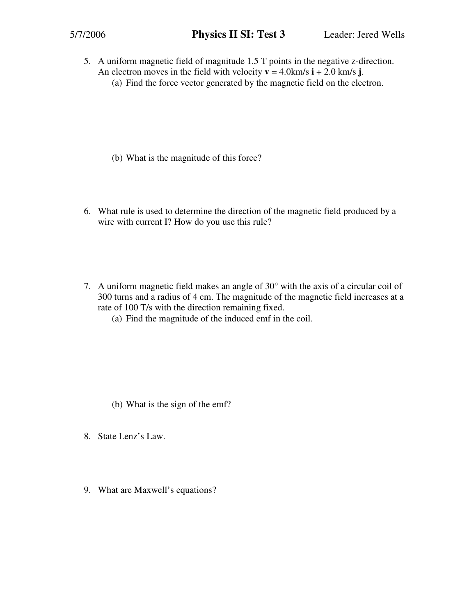5. A uniform magnetic field of magnitude 1.5 T points in the negative z-direction. An electron moves in the field with velocity  $\mathbf{v} = 4.0 \text{ km/s } \mathbf{i} + 2.0 \text{ km/s } \mathbf{j}$ . (a) Find the force vector generated by the magnetic field on the electron.

- (b) What is the magnitude of this force?
- 6. What rule is used to determine the direction of the magnetic field produced by a wire with current I? How do you use this rule?
- 7. A uniform magnetic field makes an angle of 30° with the axis of a circular coil of 300 turns and a radius of 4 cm. The magnitude of the magnetic field increases at a rate of 100 T/s with the direction remaining fixed.
	- (a) Find the magnitude of the induced emf in the coil.

- (b) What is the sign of the emf?
- 8. State Lenz's Law.
- 9. What are Maxwell's equations?